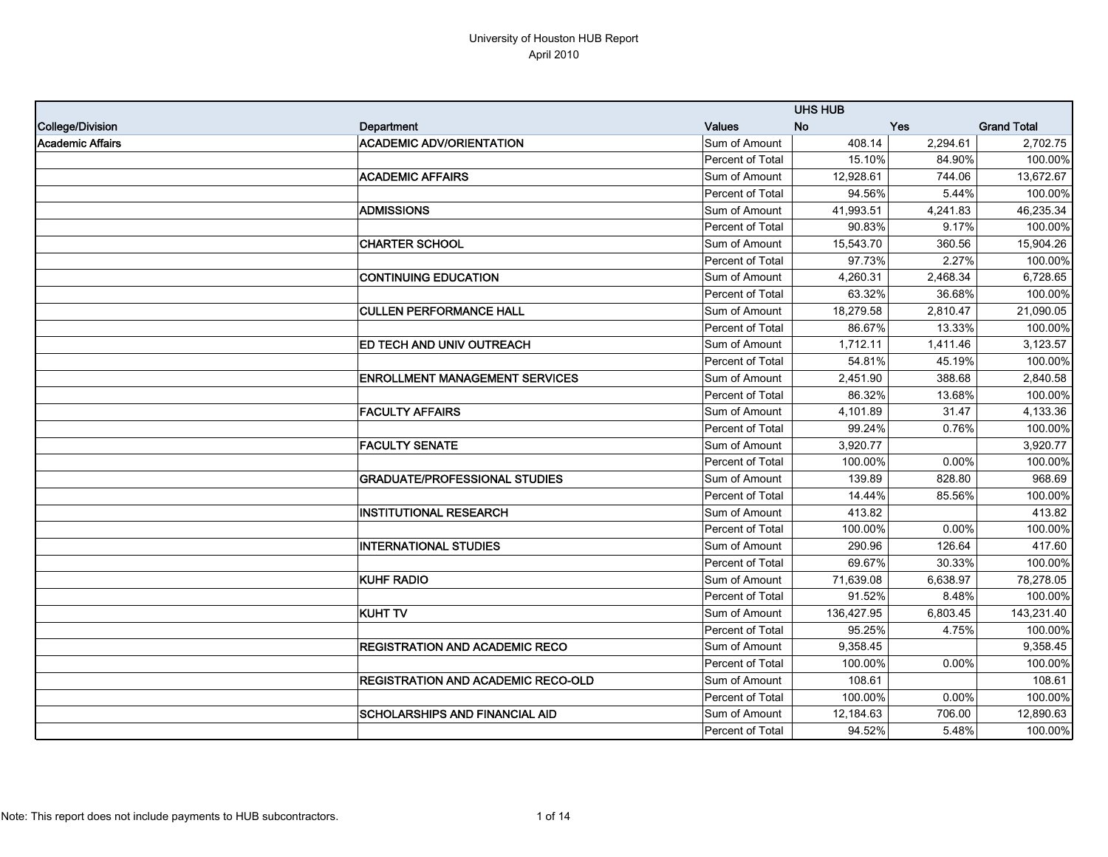|                         |                                           |                  | <b>UHS HUB</b> |            |                    |
|-------------------------|-------------------------------------------|------------------|----------------|------------|--------------------|
| College/Division        | Department                                | <b>Values</b>    | <b>No</b>      | <b>Yes</b> | <b>Grand Total</b> |
| <b>Academic Affairs</b> | <b>ACADEMIC ADV/ORIENTATION</b>           | Sum of Amount    | 408.14         | 2,294.61   | 2,702.75           |
|                         |                                           | Percent of Total | 15.10%         | 84.90%     | 100.00%            |
|                         | <b>ACADEMIC AFFAIRS</b>                   | Sum of Amount    | 12,928.61      | 744.06     | 13,672.67          |
|                         |                                           | Percent of Total | 94.56%         | 5.44%      | 100.00%            |
|                         | <b>ADMISSIONS</b>                         | Sum of Amount    | 41,993.51      | 4,241.83   | 46,235.34          |
|                         |                                           | Percent of Total | 90.83%         | 9.17%      | 100.00%            |
|                         | <b>CHARTER SCHOOL</b>                     | Sum of Amount    | 15,543.70      | 360.56     | 15,904.26          |
|                         |                                           | Percent of Total | 97.73%         | 2.27%      | 100.00%            |
|                         | <b>CONTINUING EDUCATION</b>               | Sum of Amount    | 4,260.31       | 2,468.34   | 6,728.65           |
|                         |                                           | Percent of Total | 63.32%         | 36.68%     | 100.00%            |
|                         | <b>CULLEN PERFORMANCE HALL</b>            | Sum of Amount    | 18,279.58      | 2,810.47   | 21,090.05          |
|                         |                                           | Percent of Total | 86.67%         | 13.33%     | 100.00%            |
|                         | <b>ED TECH AND UNIV OUTREACH</b>          | Sum of Amount    | 1,712.11       | 1,411.46   | 3,123.57           |
|                         |                                           | Percent of Total | 54.81%         | 45.19%     | 100.00%            |
|                         | <b>ENROLLMENT MANAGEMENT SERVICES</b>     | Sum of Amount    | 2,451.90       | 388.68     | 2,840.58           |
|                         |                                           | Percent of Total | 86.32%         | 13.68%     | 100.00%            |
|                         | <b>FACULTY AFFAIRS</b>                    | Sum of Amount    | 4,101.89       | 31.47      | 4,133.36           |
|                         |                                           | Percent of Total | 99.24%         | 0.76%      | 100.00%            |
|                         | <b>FACULTY SENATE</b>                     | Sum of Amount    | 3,920.77       |            | 3,920.77           |
|                         |                                           | Percent of Total | 100.00%        | $0.00\%$   | 100.00%            |
|                         | <b>GRADUATE/PROFESSIONAL STUDIES</b>      | Sum of Amount    | 139.89         | 828.80     | 968.69             |
|                         |                                           | Percent of Total | 14.44%         | 85.56%     | 100.00%            |
|                         | <b>INSTITUTIONAL RESEARCH</b>             | Sum of Amount    | 413.82         |            | 413.82             |
|                         |                                           | Percent of Total | 100.00%        | 0.00%      | 100.00%            |
|                         | <b>INTERNATIONAL STUDIES</b>              | Sum of Amount    | 290.96         | 126.64     | 417.60             |
|                         |                                           | Percent of Total | 69.67%         | 30.33%     | 100.00%            |
|                         | <b>KUHF RADIO</b>                         | Sum of Amount    | 71,639.08      | 6,638.97   | 78,278.05          |
|                         |                                           | Percent of Total | 91.52%         | 8.48%      | 100.00%            |
|                         | <b>KUHT TV</b>                            | Sum of Amount    | 136,427.95     | 6,803.45   | 143,231.40         |
|                         |                                           | Percent of Total | 95.25%         | 4.75%      | 100.00%            |
|                         | <b>REGISTRATION AND ACADEMIC RECO</b>     | Sum of Amount    | 9,358.45       |            | 9,358.45           |
|                         |                                           | Percent of Total | 100.00%        | 0.00%      | 100.00%            |
|                         | <b>REGISTRATION AND ACADEMIC RECO-OLD</b> | Sum of Amount    | 108.61         |            | 108.61             |
|                         |                                           | Percent of Total | 100.00%        | 0.00%      | 100.00%            |
|                         | <b>SCHOLARSHIPS AND FINANCIAL AID</b>     | Sum of Amount    | 12,184.63      | 706.00     | 12,890.63          |
|                         |                                           | Percent of Total | 94.52%         | 5.48%      | 100.00%            |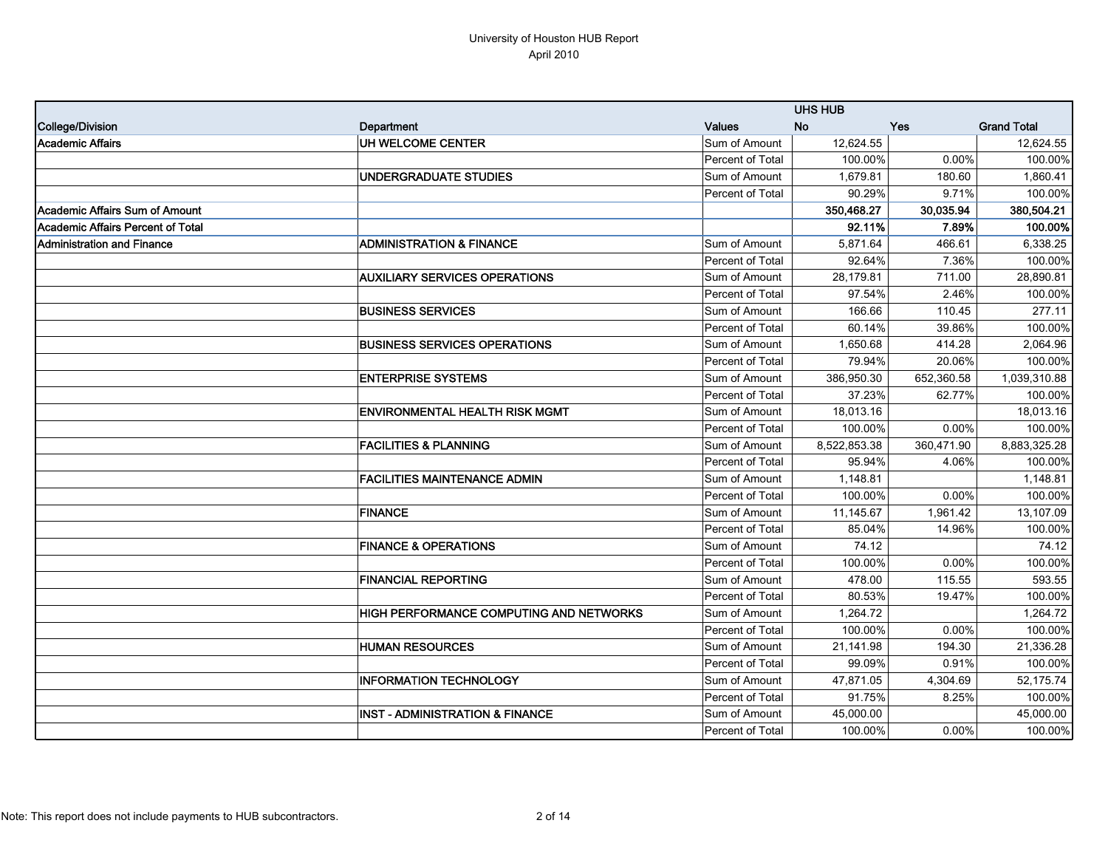|                                   |                                                |                  | <b>UHS HUB</b> |            |                    |
|-----------------------------------|------------------------------------------------|------------------|----------------|------------|--------------------|
| College/Division                  | Department                                     | <b>Values</b>    | <b>No</b>      | <b>Yes</b> | <b>Grand Total</b> |
| Academic Affairs                  | UH WELCOME CENTER                              | Sum of Amount    | 12,624.55      |            | 12,624.55          |
|                                   |                                                | Percent of Total | 100.00%        | 0.00%      | 100.00%            |
|                                   | UNDERGRADUATE STUDIES                          | Sum of Amount    | 1,679.81       | 180.60     | 1,860.41           |
|                                   |                                                | Percent of Total | 90.29%         | 9.71%      | 100.00%            |
| Academic Affairs Sum of Amount    |                                                |                  | 350,468.27     | 30,035.94  | 380,504.21         |
| Academic Affairs Percent of Total |                                                |                  | 92.11%         | 7.89%      | 100.00%            |
| Administration and Finance        | <b>ADMINISTRATION &amp; FINANCE</b>            | Sum of Amount    | 5,871.64       | 466.61     | 6,338.25           |
|                                   |                                                | Percent of Total | 92.64%         | 7.36%      | 100.00%            |
|                                   | <b>AUXILIARY SERVICES OPERATIONS</b>           | Sum of Amount    | 28,179.81      | 711.00     | 28,890.81          |
|                                   |                                                | Percent of Total | 97.54%         | 2.46%      | 100.00%            |
|                                   | <b>BUSINESS SERVICES</b>                       | Sum of Amount    | 166.66         | 110.45     | 277.11             |
|                                   |                                                | Percent of Total | 60.14%         | 39.86%     | 100.00%            |
|                                   | <b>BUSINESS SERVICES OPERATIONS</b>            | Sum of Amount    | 1,650.68       | 414.28     | 2,064.96           |
|                                   |                                                | Percent of Total | 79.94%         | 20.06%     | 100.00%            |
|                                   | <b>ENTERPRISE SYSTEMS</b>                      | Sum of Amount    | 386,950.30     | 652,360.58 | 1,039,310.88       |
|                                   |                                                | Percent of Total | 37.23%         | 62.77%     | 100.00%            |
|                                   | <b>ENVIRONMENTAL HEALTH RISK MGMT</b>          | Sum of Amount    | 18,013.16      |            | 18,013.16          |
|                                   |                                                | Percent of Total | 100.00%        | 0.00%      | 100.00%            |
|                                   | <b>FACILITIES &amp; PLANNING</b>               | Sum of Amount    | 8,522,853.38   | 360,471.90 | 8,883,325.28       |
|                                   |                                                | Percent of Total | 95.94%         | 4.06%      | 100.00%            |
|                                   | <b>FACILITIES MAINTENANCE ADMIN</b>            | Sum of Amount    | 1,148.81       |            | 1,148.81           |
|                                   |                                                | Percent of Total | 100.00%        | 0.00%      | 100.00%            |
|                                   | <b>FINANCE</b>                                 | Sum of Amount    | 11,145.67      | 1,961.42   | 13,107.09          |
|                                   |                                                | Percent of Total | 85.04%         | 14.96%     | 100.00%            |
|                                   | <b>FINANCE &amp; OPERATIONS</b>                | Sum of Amount    | 74.12          |            | 74.12              |
|                                   |                                                | Percent of Total | 100.00%        | 0.00%      | 100.00%            |
|                                   | <b>FINANCIAL REPORTING</b>                     | Sum of Amount    | 478.00         | 115.55     | 593.55             |
|                                   |                                                | Percent of Total | 80.53%         | 19.47%     | 100.00%            |
|                                   | <b>HIGH PERFORMANCE COMPUTING AND NETWORKS</b> | Sum of Amount    | 1,264.72       |            | 1,264.72           |
|                                   |                                                | Percent of Total | 100.00%        | 0.00%      | 100.00%            |
|                                   | <b>HUMAN RESOURCES</b>                         | Sum of Amount    | 21,141.98      | 194.30     | 21,336.28          |
|                                   |                                                | Percent of Total | 99.09%         | 0.91%      | 100.00%            |
|                                   | <b>INFORMATION TECHNOLOGY</b>                  | Sum of Amount    | 47,871.05      | 4,304.69   | 52,175.74          |
|                                   |                                                | Percent of Total | 91.75%         | 8.25%      | 100.00%            |
|                                   | <b>INST - ADMINISTRATION &amp; FINANCE</b>     | Sum of Amount    | 45,000.00      |            | 45,000.00          |
|                                   |                                                | Percent of Total | 100.00%        | $0.00\%$   | 100.00%            |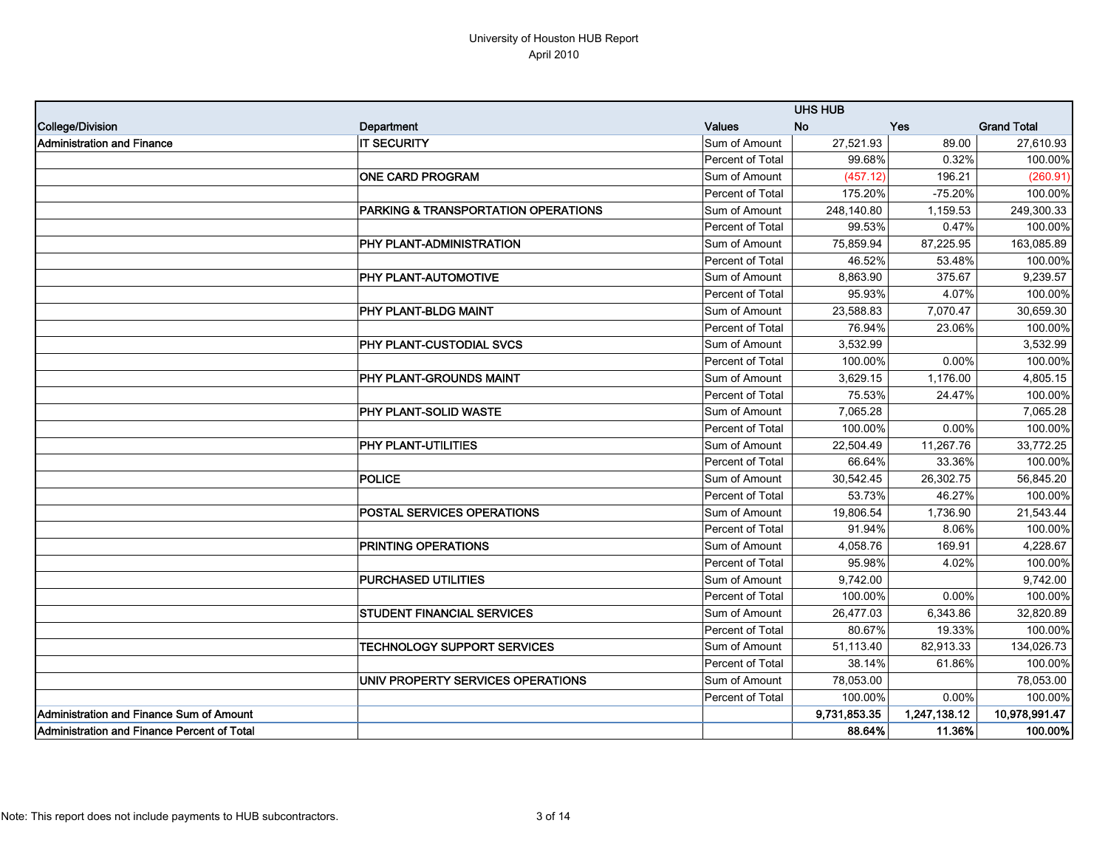|                                                     |                                                |                  | <b>UHS HUB</b> |              |                    |
|-----------------------------------------------------|------------------------------------------------|------------------|----------------|--------------|--------------------|
| College/Division                                    | Department                                     | <b>Values</b>    | <b>No</b>      | Yes          | <b>Grand Total</b> |
| <b>Administration and Finance</b>                   | <b>IT SECURITY</b>                             | Sum of Amount    | 27,521.93      | 89.00        | 27,610.93          |
|                                                     |                                                | Percent of Total | 99.68%         | 0.32%        | 100.00%            |
|                                                     | <b>ONE CARD PROGRAM</b>                        | Sum of Amount    | (457.12)       | 196.21       | (260.91)           |
|                                                     |                                                | Percent of Total | 175.20%        | $-75.20%$    | 100.00%            |
|                                                     | <b>PARKING &amp; TRANSPORTATION OPERATIONS</b> | Sum of Amount    | 248,140.80     | 1,159.53     | 249,300.33         |
|                                                     |                                                | Percent of Total | 99.53%         | 0.47%        | 100.00%            |
|                                                     | PHY PLANT-ADMINISTRATION                       | Sum of Amount    | 75,859.94      | 87,225.95    | 163,085.89         |
|                                                     |                                                | Percent of Total | 46.52%         | 53.48%       | 100.00%            |
|                                                     | <b>PHY PLANT-AUTOMOTIVE</b>                    | Sum of Amount    | 8,863.90       | 375.67       | 9,239.57           |
|                                                     |                                                | Percent of Total | 95.93%         | 4.07%        | 100.00%            |
|                                                     | <b>PHY PLANT-BLDG MAINT</b>                    | Sum of Amount    | 23,588.83      | 7,070.47     | 30,659.30          |
|                                                     |                                                | Percent of Total | 76.94%         | 23.06%       | 100.00%            |
|                                                     | <b>PHY PLANT-CUSTODIAL SVCS</b>                | Sum of Amount    | 3,532.99       |              | 3,532.99           |
|                                                     |                                                | Percent of Total | 100.00%        | 0.00%        | 100.00%            |
|                                                     | PHY PLANT-GROUNDS MAINT                        | Sum of Amount    | 3,629.15       | 1.176.00     | 4,805.15           |
|                                                     |                                                | Percent of Total | 75.53%         | 24.47%       | 100.00%            |
|                                                     | PHY PLANT-SOLID WASTE                          | Sum of Amount    | 7.065.28       |              | 7,065.28           |
|                                                     |                                                | Percent of Total | 100.00%        | 0.00%        | 100.00%            |
|                                                     | <b>PHY PLANT-UTILITIES</b>                     | Sum of Amount    | 22,504.49      | 11,267.76    | 33,772.25          |
|                                                     |                                                | Percent of Total | 66.64%         | 33.36%       | 100.00%            |
|                                                     | <b>POLICE</b>                                  | Sum of Amount    | 30,542.45      | 26,302.75    | 56,845.20          |
|                                                     |                                                | Percent of Total | 53.73%         | 46.27%       | 100.00%            |
|                                                     | <b>POSTAL SERVICES OPERATIONS</b>              | Sum of Amount    | 19,806.54      | 1,736.90     | 21,543.44          |
|                                                     |                                                | Percent of Total | 91.94%         | 8.06%        | 100.00%            |
|                                                     | <b>PRINTING OPERATIONS</b>                     | Sum of Amount    | 4,058.76       | 169.91       | 4,228.67           |
|                                                     |                                                | Percent of Total | 95.98%         | 4.02%        | 100.00%            |
|                                                     | <b>PURCHASED UTILITIES</b>                     | Sum of Amount    | 9,742.00       |              | 9,742.00           |
|                                                     |                                                | Percent of Total | 100.00%        | 0.00%        | 100.00%            |
|                                                     | <b>STUDENT FINANCIAL SERVICES</b>              | Sum of Amount    | 26,477.03      | 6,343.86     | 32,820.89          |
|                                                     |                                                | Percent of Total | 80.67%         | 19.33%       | 100.00%            |
|                                                     | <b>TECHNOLOGY SUPPORT SERVICES</b>             | Sum of Amount    | 51,113.40      | 82,913.33    | 134,026.73         |
|                                                     |                                                | Percent of Total | 38.14%         | 61.86%       | 100.00%            |
|                                                     | UNIV PROPERTY SERVICES OPERATIONS              | Sum of Amount    | 78,053.00      |              | 78,053.00          |
|                                                     |                                                | Percent of Total | 100.00%        | 0.00%        | 100.00%            |
| Administration and Finance Sum of Amount            |                                                |                  | 9,731,853.35   | 1,247,138.12 | 10,978,991.47      |
| <b>IAdministration and Finance Percent of Total</b> |                                                |                  | 88.64%         | 11.36%       | 100.00%            |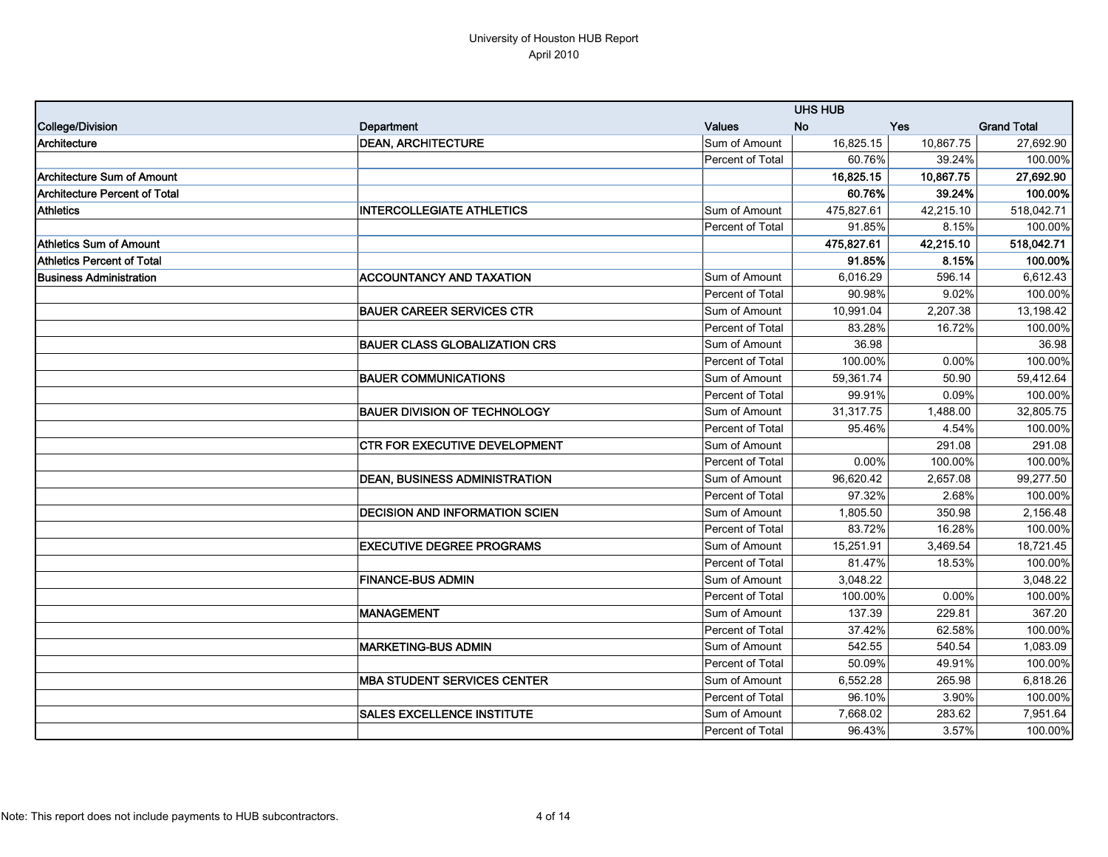|                                      |                                       |                         | <b>UHS HUB</b> |           |                    |
|--------------------------------------|---------------------------------------|-------------------------|----------------|-----------|--------------------|
| College/Division                     | Department                            | <b>Values</b>           | <b>No</b>      | Yes       | <b>Grand Total</b> |
| Architecture                         | <b>DEAN, ARCHITECTURE</b>             | Sum of Amount           | 16,825.15      | 10,867.75 | 27,692.90          |
|                                      |                                       | Percent of Total        | 60.76%         | 39.24%    | 100.00%            |
| <b>Architecture Sum of Amount</b>    |                                       |                         | 16.825.15      | 10,867.75 | 27,692.90          |
| <b>Architecture Percent of Total</b> |                                       |                         | 60.76%         | 39.24%    | 100.00%            |
| <b>Athletics</b>                     | <b>INTERCOLLEGIATE ATHLETICS</b>      | Sum of Amount           | 475,827.61     | 42,215.10 | 518,042.71         |
|                                      |                                       | Percent of Total        | 91.85%         | 8.15%     | 100.00%            |
| Athletics Sum of Amount              |                                       |                         | 475,827.61     | 42,215.10 | 518,042.71         |
| <b>Athletics Percent of Total</b>    |                                       |                         | 91.85%         | 8.15%     | 100.00%            |
| <b>Business Administration</b>       | <b>ACCOUNTANCY AND TAXATION</b>       | Sum of Amount           | 6,016.29       | 596.14    | 6,612.43           |
|                                      |                                       | Percent of Total        | 90.98%         | 9.02%     | 100.00%            |
|                                      | <b>BAUER CAREER SERVICES CTR</b>      | Sum of Amount           | 10,991.04      | 2,207.38  | 13,198.42          |
|                                      |                                       | Percent of Total        | 83.28%         | 16.72%    | 100.00%            |
|                                      | <b>BAUER CLASS GLOBALIZATION CRS</b>  | Sum of Amount           | 36.98          |           | 36.98              |
|                                      |                                       | Percent of Total        | 100.00%        | 0.00%     | 100.00%            |
|                                      | <b>BAUER COMMUNICATIONS</b>           | Sum of Amount           | 59,361.74      | 50.90     | 59,412.64          |
|                                      |                                       | Percent of Total        | 99.91%         | 0.09%     | 100.00%            |
|                                      | <b>BAUER DIVISION OF TECHNOLOGY</b>   | Sum of Amount           | 31,317.75      | 1,488.00  | 32,805.75          |
|                                      |                                       | Percent of Total        | 95.46%         | 4.54%     | 100.00%            |
|                                      | <b>CTR FOR EXECUTIVE DEVELOPMENT</b>  | Sum of Amount           |                | 291.08    | 291.08             |
|                                      |                                       | Percent of Total        | 0.00%          | 100.00%   | 100.00%            |
|                                      | <b>DEAN, BUSINESS ADMINISTRATION</b>  | Sum of Amount           | 96,620.42      | 2,657.08  | 99,277.50          |
|                                      |                                       | Percent of Total        | 97.32%         | 2.68%     | 100.00%            |
|                                      | <b>DECISION AND INFORMATION SCIEN</b> | Sum of Amount           | 1,805.50       | 350.98    | 2,156.48           |
|                                      |                                       | <b>Percent of Total</b> | 83.72%         | 16.28%    | 100.00%            |
|                                      | <b>EXECUTIVE DEGREE PROGRAMS</b>      | Sum of Amount           | 15,251.91      | 3,469.54  | 18,721.45          |
|                                      |                                       | Percent of Total        | 81.47%         | 18.53%    | 100.00%            |
|                                      | <b>FINANCE-BUS ADMIN</b>              | Sum of Amount           | 3,048.22       |           | 3,048.22           |
|                                      |                                       | Percent of Total        | 100.00%        | 0.00%     | 100.00%            |
|                                      | <b>MANAGEMENT</b>                     | Sum of Amount           | 137.39         | 229.81    | 367.20             |
|                                      |                                       | Percent of Total        | 37.42%         | 62.58%    | 100.00%            |
|                                      | <b>MARKETING-BUS ADMIN</b>            | Sum of Amount           | 542.55         | 540.54    | 1,083.09           |
|                                      |                                       | Percent of Total        | 50.09%         | 49.91%    | 100.00%            |
|                                      | <b>MBA STUDENT SERVICES CENTER</b>    | Sum of Amount           | 6,552.28       | 265.98    | 6,818.26           |
|                                      |                                       | Percent of Total        | 96.10%         | 3.90%     | 100.00%            |
|                                      | <b>SALES EXCELLENCE INSTITUTE</b>     | Sum of Amount           | 7,668.02       | 283.62    | 7,951.64           |
|                                      |                                       | Percent of Total        | 96.43%         | 3.57%     | 100.00%            |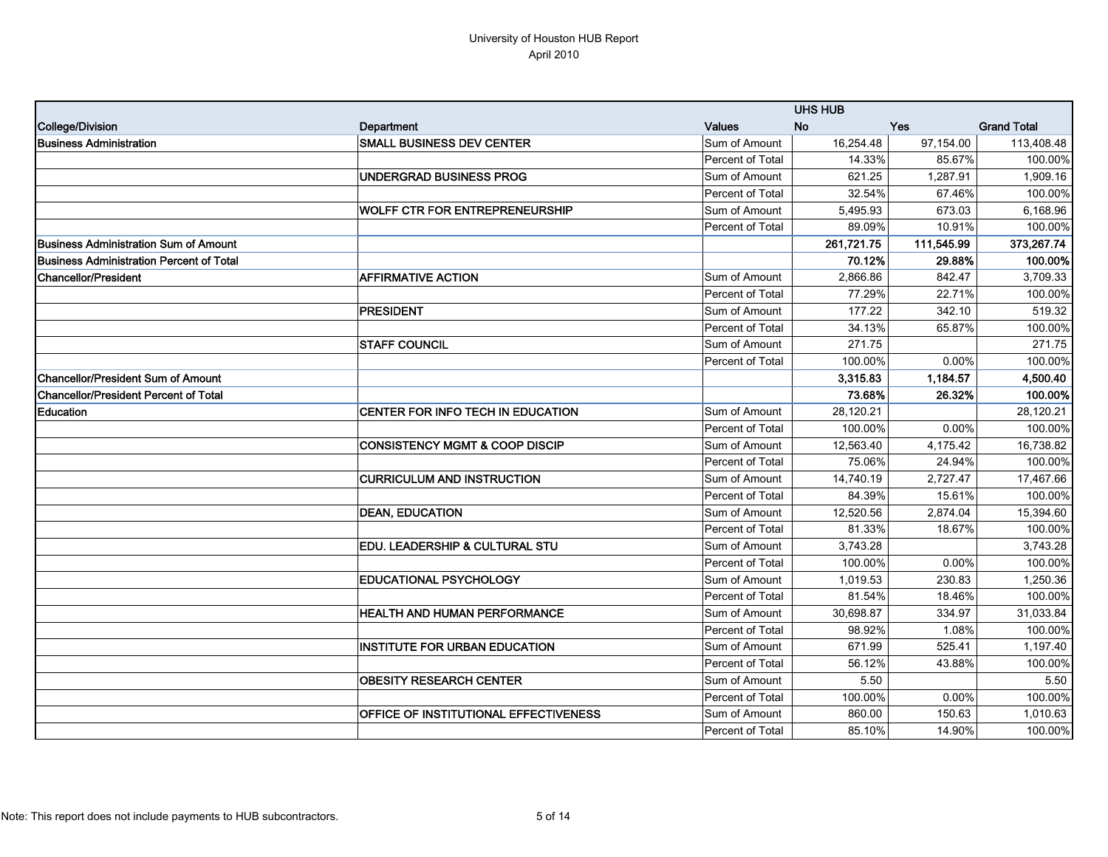|                                                 |                                              |                         | <b>UHS HUB</b> |            |                    |
|-------------------------------------------------|----------------------------------------------|-------------------------|----------------|------------|--------------------|
| College/Division                                | Department                                   | <b>Values</b>           | <b>No</b>      | Yes        | <b>Grand Total</b> |
| <b>Business Administration</b>                  | <b>SMALL BUSINESS DEV CENTER</b>             | Sum of Amount           | 16,254.48      | 97,154.00  | 113,408.48         |
|                                                 |                                              | Percent of Total        | 14.33%         | 85.67%     | 100.00%            |
|                                                 | <b>UNDERGRAD BUSINESS PROG</b>               | Sum of Amount           | 621.25         | 1,287.91   | 1,909.16           |
|                                                 |                                              | Percent of Total        | 32.54%         | 67.46%     | 100.00%            |
|                                                 | <b>WOLFF CTR FOR ENTREPRENEURSHIP</b>        | Sum of Amount           | 5,495.93       | 673.03     | 6,168.96           |
|                                                 |                                              | Percent of Total        | 89.09%         | 10.91%     | 100.00%            |
| <b>IBusiness Administration Sum of Amount</b>   |                                              |                         | 261,721.75     | 111,545.99 | 373,267.74         |
| <b>Business Administration Percent of Total</b> |                                              |                         | 70.12%         | 29.88%     | 100.00%            |
| Chancellor/President                            | <b>AFFIRMATIVE ACTION</b>                    | Sum of Amount           | 2,866.86       | 842.47     | 3,709.33           |
|                                                 |                                              | <b>Percent of Total</b> | 77.29%         | 22.71%     | 100.00%            |
|                                                 | <b>PRESIDENT</b>                             | Sum of Amount           | 177.22         | 342.10     | 519.32             |
|                                                 |                                              | <b>Percent of Total</b> | 34.13%         | 65.87%     | 100.00%            |
|                                                 | <b>STAFF COUNCIL</b>                         | Sum of Amount           | 271.75         |            | 271.75             |
|                                                 |                                              | Percent of Total        | 100.00%        | 0.00%      | 100.00%            |
| Chancellor/President Sum of Amount              |                                              |                         | 3.315.83       | 1.184.57   | 4,500.40           |
| <b>Chancellor/President Percent of Total</b>    |                                              |                         | 73.68%         | 26.32%     | 100.00%            |
| Education                                       | CENTER FOR INFO TECH IN EDUCATION            | Sum of Amount           | 28,120.21      |            | 28,120.21          |
|                                                 |                                              | Percent of Total        | 100.00%        | 0.00%      | 100.00%            |
|                                                 | <b>CONSISTENCY MGMT &amp; COOP DISCIP</b>    | Sum of Amount           | 12,563.40      | 4,175.42   | 16,738.82          |
|                                                 |                                              | Percent of Total        | 75.06%         | 24.94%     | 100.00%            |
|                                                 | <b>CURRICULUM AND INSTRUCTION</b>            | Sum of Amount           | 14,740.19      | 2,727.47   | 17,467.66          |
|                                                 |                                              | Percent of Total        | 84.39%         | 15.61%     | 100.00%            |
|                                                 | <b>DEAN, EDUCATION</b>                       | Sum of Amount           | 12,520.56      | 2,874.04   | 15,394.60          |
|                                                 |                                              | Percent of Total        | 81.33%         | 18.67%     | 100.00%            |
|                                                 | <b>EDU. LEADERSHIP &amp; CULTURAL STU</b>    | Sum of Amount           | 3,743.28       |            | 3,743.28           |
|                                                 |                                              | Percent of Total        | 100.00%        | 0.00%      | 100.00%            |
|                                                 | <b>EDUCATIONAL PSYCHOLOGY</b>                | Sum of Amount           | 1,019.53       | 230.83     | 1,250.36           |
|                                                 |                                              | Percent of Total        | 81.54%         | 18.46%     | 100.00%            |
|                                                 | <b>HEALTH AND HUMAN PERFORMANCE</b>          | Sum of Amount           | 30,698.87      | 334.97     | 31,033.84          |
|                                                 |                                              | Percent of Total        | 98.92%         | 1.08%      | 100.00%            |
|                                                 | <b>INSTITUTE FOR URBAN EDUCATION</b>         | Sum of Amount           | 671.99         | 525.41     | 1,197.40           |
|                                                 |                                              | Percent of Total        | 56.12%         | 43.88%     | 100.00%            |
|                                                 | <b>OBESITY RESEARCH CENTER</b>               | Sum of Amount           | 5.50           |            | 5.50               |
|                                                 |                                              | Percent of Total        | 100.00%        | 0.00%      | 100.00%            |
|                                                 | <b>OFFICE OF INSTITUTIONAL EFFECTIVENESS</b> | Sum of Amount           | 860.00         | 150.63     | 1,010.63           |
|                                                 |                                              | <b>Percent of Total</b> | 85.10%         | 14.90%     | 100.00%            |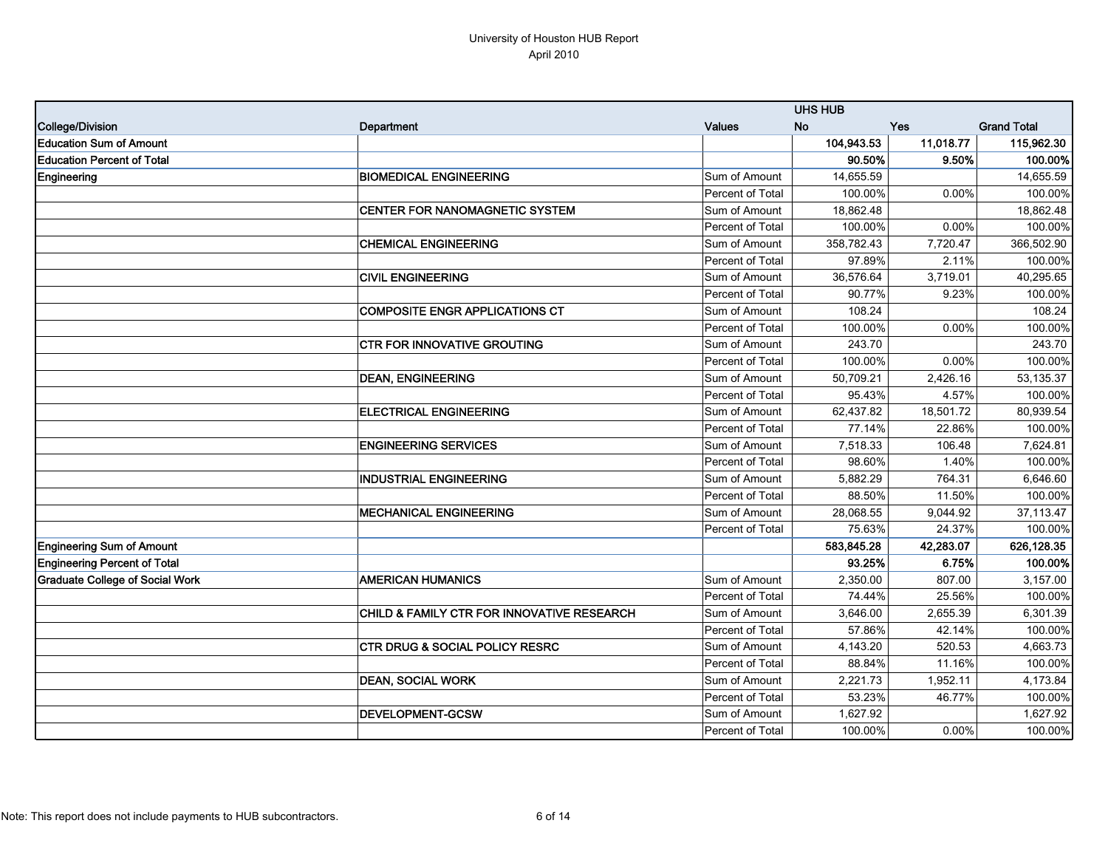|                                        |                                            |                         | <b>UHS HUB</b> |            |                    |
|----------------------------------------|--------------------------------------------|-------------------------|----------------|------------|--------------------|
| College/Division                       | Department                                 | <b>Values</b>           | No             | <b>Yes</b> | <b>Grand Total</b> |
| <b>Education Sum of Amount</b>         |                                            |                         | 104,943.53     | 11,018.77  | 115,962.30         |
| <b>Education Percent of Total</b>      |                                            |                         | 90.50%         | 9.50%      | 100.00%            |
| Engineering                            | <b>BIOMEDICAL ENGINEERING</b>              | Sum of Amount           | 14,655.59      |            | 14,655.59          |
|                                        |                                            | Percent of Total        | 100.00%        | 0.00%      | 100.00%            |
|                                        | <b>CENTER FOR NANOMAGNETIC SYSTEM</b>      | Sum of Amount           | 18.862.48      |            | 18,862.48          |
|                                        |                                            | Percent of Total        | 100.00%        | 0.00%      | 100.00%            |
|                                        | <b>CHEMICAL ENGINEERING</b>                | Sum of Amount           | 358,782.43     | 7,720.47   | 366,502.90         |
|                                        |                                            | Percent of Total        | 97.89%         | 2.11%      | 100.00%            |
|                                        | <b>CIVIL ENGINEERING</b>                   | Sum of Amount           | 36,576.64      | 3,719.01   | 40,295.65          |
|                                        |                                            | Percent of Total        | 90.77%         | 9.23%      | 100.00%            |
|                                        | <b>COMPOSITE ENGR APPLICATIONS CT</b>      | Sum of Amount           | 108.24         |            | 108.24             |
|                                        |                                            | Percent of Total        | 100.00%        | 0.00%      | 100.00%            |
|                                        | <b>CTR FOR INNOVATIVE GROUTING</b>         | Sum of Amount           | 243.70         |            | 243.70             |
|                                        |                                            | Percent of Total        | 100.00%        | 0.00%      | 100.00%            |
|                                        | <b>DEAN, ENGINEERING</b>                   | Sum of Amount           | 50,709.21      | 2,426.16   | 53,135.37          |
|                                        |                                            | Percent of Total        | 95.43%         | 4.57%      | 100.00%            |
|                                        | <b>ELECTRICAL ENGINEERING</b>              | Sum of Amount           | 62,437.82      | 18,501.72  | 80,939.54          |
|                                        |                                            | Percent of Total        | 77.14%         | 22.86%     | 100.00%            |
|                                        | <b>ENGINEERING SERVICES</b>                | Sum of Amount           | 7,518.33       | 106.48     | 7,624.81           |
|                                        |                                            | Percent of Total        | 98.60%         | 1.40%      | 100.00%            |
|                                        | <b>INDUSTRIAL ENGINEERING</b>              | Sum of Amount           | 5,882.29       | 764.31     | 6,646.60           |
|                                        |                                            | Percent of Total        | 88.50%         | 11.50%     | 100.00%            |
|                                        | <b>MECHANICAL ENGINEERING</b>              | Sum of Amount           | 28,068.55      | 9,044.92   | 37,113.47          |
|                                        |                                            | Percent of Total        | 75.63%         | 24.37%     | 100.00%            |
| <b>Engineering Sum of Amount</b>       |                                            |                         | 583,845.28     | 42,283.07  | 626,128.35         |
| <b>Engineering Percent of Total</b>    |                                            |                         | 93.25%         | 6.75%      | 100.00%            |
| <b>Graduate College of Social Work</b> | <b>AMERICAN HUMANICS</b>                   | Sum of Amount           | 2,350.00       | 807.00     | 3,157.00           |
|                                        |                                            | Percent of Total        | 74.44%         | 25.56%     | 100.00%            |
|                                        | CHILD & FAMILY CTR FOR INNOVATIVE RESEARCH | Sum of Amount           | 3,646.00       | 2,655.39   | 6,301.39           |
|                                        |                                            | Percent of Total        | 57.86%         | 42.14%     | 100.00%            |
|                                        | <b>CTR DRUG &amp; SOCIAL POLICY RESRC</b>  | Sum of Amount           | 4,143.20       | 520.53     | 4,663.73           |
|                                        |                                            | Percent of Total        | 88.84%         | 11.16%     | 100.00%            |
|                                        | <b>DEAN, SOCIAL WORK</b>                   | Sum of Amount           | 2,221.73       | 1,952.11   | 4,173.84           |
|                                        |                                            | Percent of Total        | 53.23%         | 46.77%     | 100.00%            |
|                                        | <b>DEVELOPMENT-GCSW</b>                    | Sum of Amount           | 1,627.92       |            | 1,627.92           |
|                                        |                                            | <b>Percent of Total</b> | 100.00%        | 0.00%      | 100.00%            |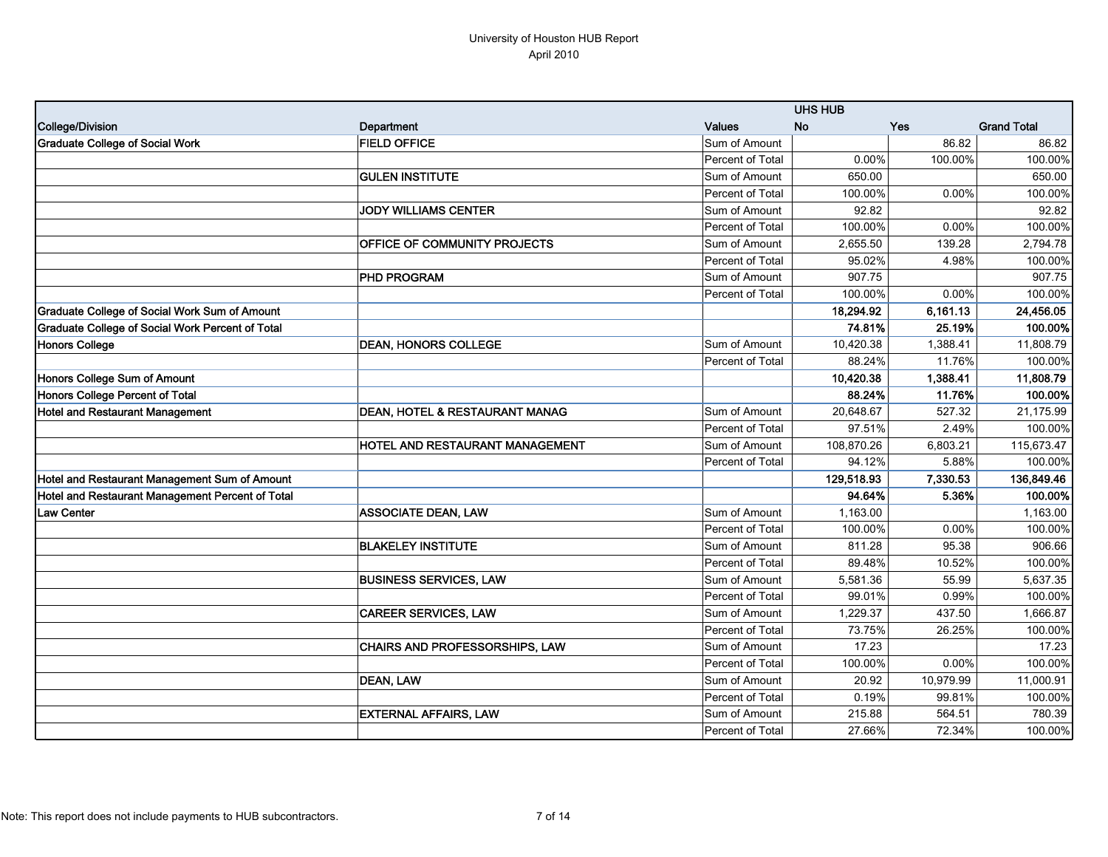|                                                  |                                           |                  | <b>UHS HUB</b> |           |                       |
|--------------------------------------------------|-------------------------------------------|------------------|----------------|-----------|-----------------------|
| College/Division                                 | <b>Department</b>                         | <b>Values</b>    | <b>No</b>      | Yes       | <b>Grand Total</b>    |
| <b>Graduate College of Social Work</b>           | <b>FIELD OFFICE</b>                       | Sum of Amount    |                | 86.82     | 86.82                 |
|                                                  |                                           | Percent of Total | 0.00%          | 100.00%   | 100.00%               |
|                                                  | <b>GULEN INSTITUTE</b>                    | Sum of Amount    | 650.00         |           | 650.00                |
|                                                  |                                           | Percent of Total | 100.00%        | 0.00%     | 100.00%               |
|                                                  | <b>JODY WILLIAMS CENTER</b>               | Sum of Amount    | 92.82          |           | 92.82                 |
|                                                  |                                           | Percent of Total | 100.00%        | 0.00%     | 100.00%               |
|                                                  | <b>OFFICE OF COMMUNITY PROJECTS</b>       | Sum of Amount    | 2,655.50       | 139.28    | $\overline{2,794.78}$ |
|                                                  |                                           | Percent of Total | 95.02%         | 4.98%     | 100.00%               |
|                                                  | <b>PHD PROGRAM</b>                        | Sum of Amount    | 907.75         |           | 907.75                |
|                                                  |                                           | Percent of Total | 100.00%        | 0.00%     | 100.00%               |
| Graduate College of Social Work Sum of Amount    |                                           |                  | 18,294.92      | 6,161.13  | 24,456.05             |
| Graduate College of Social Work Percent of Total |                                           |                  | 74.81%         | 25.19%    | 100.00%               |
| <b>Honors College</b>                            | <b>DEAN, HONORS COLLEGE</b>               | Sum of Amount    | 10.420.38      | 1.388.41  | 11,808.79             |
|                                                  |                                           | Percent of Total | 88.24%         | 11.76%    | 100.00%               |
| Honors College Sum of Amount                     |                                           |                  | 10,420.38      | 1,388.41  | 11,808.79             |
| Honors College Percent of Total                  |                                           |                  | 88.24%         | 11.76%    | 100.00%               |
| <b>Hotel and Restaurant Management</b>           | <b>DEAN, HOTEL &amp; RESTAURANT MANAG</b> | Sum of Amount    | 20,648.67      | 527.32    | 21,175.99             |
|                                                  |                                           | Percent of Total | 97.51%         | 2.49%     | 100.00%               |
|                                                  | <b>HOTEL AND RESTAURANT MANAGEMENT</b>    | Sum of Amount    | 108,870.26     | 6,803.21  | 115,673.47            |
|                                                  |                                           | Percent of Total | 94.12%         | 5.88%     | 100.00%               |
| Hotel and Restaurant Management Sum of Amount    |                                           |                  | 129,518.93     | 7,330.53  | 136,849.46            |
| Hotel and Restaurant Management Percent of Total |                                           |                  | 94.64%         | 5.36%     | 100.00%               |
| <b>Law Center</b>                                | <b>ASSOCIATE DEAN, LAW</b>                | Sum of Amount    | 1,163.00       |           | 1,163.00              |
|                                                  |                                           | Percent of Total | 100.00%        | 0.00%     | 100.00%               |
|                                                  | <b>BLAKELEY INSTITUTE</b>                 | Sum of Amount    | 811.28         | 95.38     | 906.66                |
|                                                  |                                           | Percent of Total | 89.48%         | 10.52%    | 100.00%               |
|                                                  | <b>BUSINESS SERVICES, LAW</b>             | Sum of Amount    | 5,581.36       | 55.99     | 5,637.35              |
|                                                  |                                           | Percent of Total | 99.01%         | 0.99%     | 100.00%               |
|                                                  | <b>CAREER SERVICES, LAW</b>               | Sum of Amount    | 1,229.37       | 437.50    | 1,666.87              |
|                                                  |                                           | Percent of Total | 73.75%         | 26.25%    | 100.00%               |
|                                                  | <b>CHAIRS AND PROFESSORSHIPS, LAW</b>     | Sum of Amount    | 17.23          |           | 17.23                 |
|                                                  |                                           | Percent of Total | 100.00%        | 0.00%     | 100.00%               |
|                                                  | <b>DEAN, LAW</b>                          | Sum of Amount    | 20.92          | 10,979.99 | 11,000.91             |
|                                                  |                                           | Percent of Total | 0.19%          | 99.81%    | 100.00%               |
|                                                  | <b>EXTERNAL AFFAIRS, LAW</b>              | Sum of Amount    | 215.88         | 564.51    | 780.39                |
|                                                  |                                           | Percent of Total | 27.66%         | 72.34%    | 100.00%               |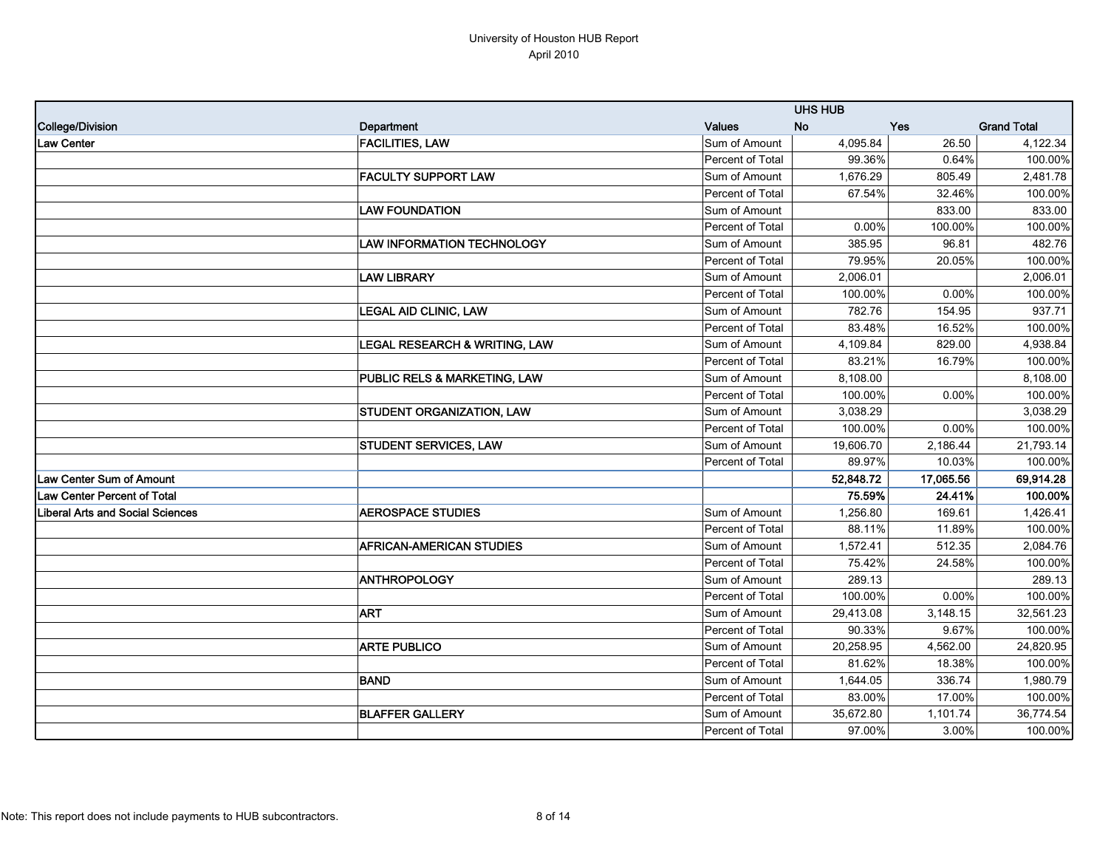|                                    |                                   |                  | <b>UHS HUB</b> |            |                    |
|------------------------------------|-----------------------------------|------------------|----------------|------------|--------------------|
| College/Division                   | Department                        | <b>Values</b>    | <b>No</b>      | <b>Yes</b> | <b>Grand Total</b> |
| <b>Law Center</b>                  | <b>FACILITIES, LAW</b>            | Sum of Amount    | 4,095.84       | 26.50      | 4,122.34           |
|                                    |                                   | Percent of Total | 99.36%         | 0.64%      | 100.00%            |
|                                    | <b>FACULTY SUPPORT LAW</b>        | Sum of Amount    | 1,676.29       | 805.49     | 2,481.78           |
|                                    |                                   | Percent of Total | 67.54%         | 32.46%     | 100.00%            |
|                                    | <b>LAW FOUNDATION</b>             | Sum of Amount    |                | 833.00     | 833.00             |
|                                    |                                   | Percent of Total | 0.00%          | 100.00%    | 100.00%            |
|                                    | <b>LAW INFORMATION TECHNOLOGY</b> | Sum of Amount    | 385.95         | 96.81      | 482.76             |
|                                    |                                   | Percent of Total | 79.95%         | 20.05%     | 100.00%            |
|                                    | <b>LAW LIBRARY</b>                | Sum of Amount    | 2,006.01       |            | 2,006.01           |
|                                    |                                   | Percent of Total | 100.00%        | 0.00%      | 100.00%            |
|                                    | LEGAL AID CLINIC, LAW             | Sum of Amount    | 782.76         | 154.95     | 937.71             |
|                                    |                                   | Percent of Total | 83.48%         | 16.52%     | 100.00%            |
|                                    | LEGAL RESEARCH & WRITING, LAW     | Sum of Amount    | 4,109.84       | 829.00     | 4,938.84           |
|                                    |                                   | Percent of Total | 83.21%         | 16.79%     | 100.00%            |
|                                    | PUBLIC RELS & MARKETING, LAW      | Sum of Amount    | 8,108.00       |            | 8,108.00           |
|                                    |                                   | Percent of Total | 100.00%        | 0.00%      | 100.00%            |
|                                    | <b>STUDENT ORGANIZATION, LAW</b>  | Sum of Amount    | 3,038.29       |            | 3,038.29           |
|                                    |                                   | Percent of Total | 100.00%        | 0.00%      | 100.00%            |
|                                    | <b>STUDENT SERVICES, LAW</b>      | Sum of Amount    | 19,606.70      | 2,186.44   | 21,793.14          |
|                                    |                                   | Percent of Total | 89.97%         | 10.03%     | 100.00%            |
| <b>Law Center Sum of Amount</b>    |                                   |                  | 52,848.72      | 17,065.56  | 69,914.28          |
| <b>Law Center Percent of Total</b> |                                   |                  | 75.59%         | 24.41%     | 100.00%            |
| Liberal Arts and Social Sciences   | <b>AEROSPACE STUDIES</b>          | Sum of Amount    | 1,256.80       | 169.61     | 1,426.41           |
|                                    |                                   | Percent of Total | 88.11%         | 11.89%     | 100.00%            |
|                                    | AFRICAN-AMERICAN STUDIES          | Sum of Amount    | 1,572.41       | 512.35     | 2,084.76           |
|                                    |                                   | Percent of Total | 75.42%         | 24.58%     | 100.00%            |
|                                    | ANTHROPOLOGY                      | Sum of Amount    | 289.13         |            | 289.13             |
|                                    |                                   | Percent of Total | 100.00%        | 0.00%      | 100.00%            |
|                                    | <b>ART</b>                        | Sum of Amount    | 29,413.08      | 3,148.15   | 32,561.23          |
|                                    |                                   | Percent of Total | 90.33%         | 9.67%      | 100.00%            |
|                                    | <b>ARTE PUBLICO</b>               | Sum of Amount    | 20,258.95      | 4,562.00   | 24,820.95          |
|                                    |                                   | Percent of Total | 81.62%         | 18.38%     | 100.00%            |
|                                    | <b>BAND</b>                       | Sum of Amount    | 1,644.05       | 336.74     | 1,980.79           |
|                                    |                                   | Percent of Total | 83.00%         | 17.00%     | 100.00%            |
|                                    | <b>BLAFFER GALLERY</b>            | Sum of Amount    | 35,672.80      | 1,101.74   | 36,774.54          |
|                                    |                                   | Percent of Total | 97.00%         | 3.00%      | 100.00%            |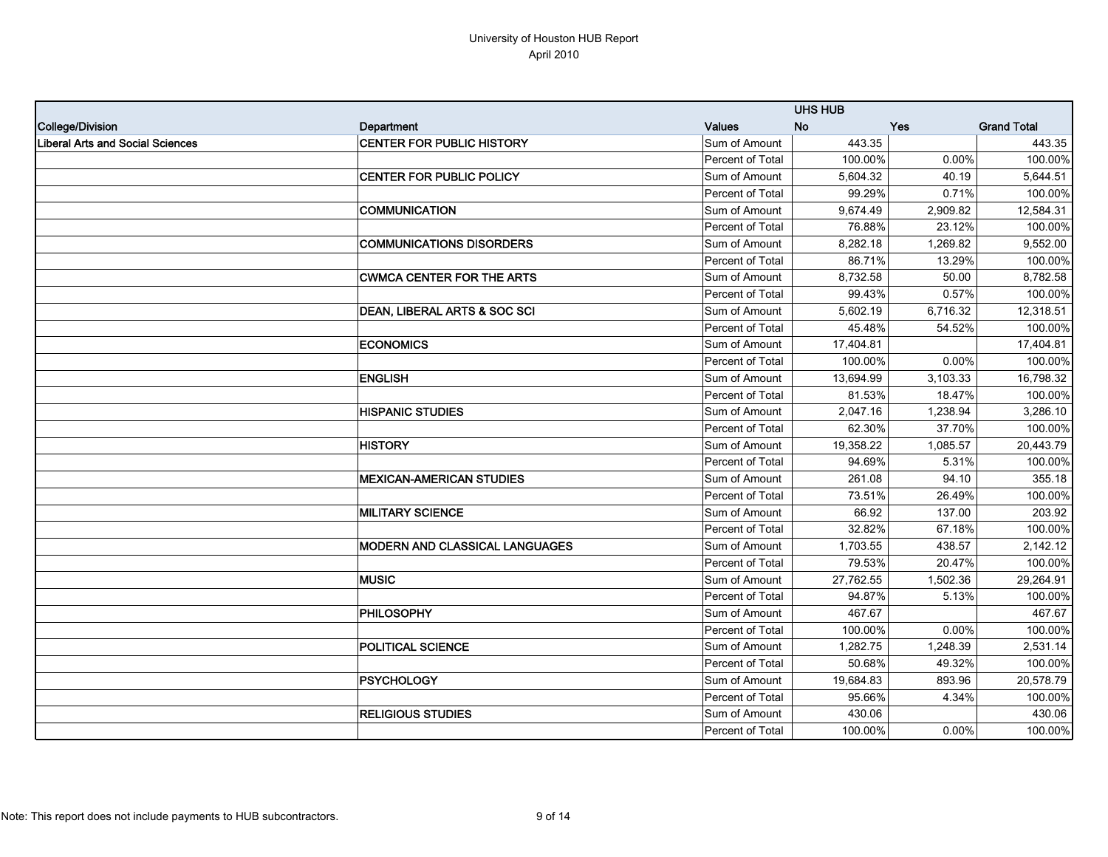|                                  |                                       |                  | <b>UHS HUB</b> |            |                    |
|----------------------------------|---------------------------------------|------------------|----------------|------------|--------------------|
| College/Division                 | Department                            | <b>Values</b>    | <b>No</b>      | <b>Yes</b> | <b>Grand Total</b> |
| Liberal Arts and Social Sciences | <b>CENTER FOR PUBLIC HISTORY</b>      | Sum of Amount    | 443.35         |            | 443.35             |
|                                  |                                       | Percent of Total | 100.00%        | 0.00%      | 100.00%            |
|                                  | CENTER FOR PUBLIC POLICY              | Sum of Amount    | 5,604.32       | 40.19      | 5,644.51           |
|                                  |                                       | Percent of Total | 99.29%         | 0.71%      | 100.00%            |
|                                  | <b>COMMUNICATION</b>                  | Sum of Amount    | 9,674.49       | 2,909.82   | 12,584.31          |
|                                  |                                       | Percent of Total | 76.88%         | 23.12%     | 100.00%            |
|                                  | <b>COMMUNICATIONS DISORDERS</b>       | Sum of Amount    | 8,282.18       | 1,269.82   | 9,552.00           |
|                                  |                                       | Percent of Total | 86.71%         | 13.29%     | 100.00%            |
|                                  | <b>CWMCA CENTER FOR THE ARTS</b>      | Sum of Amount    | 8,732.58       | 50.00      | 8,782.58           |
|                                  |                                       | Percent of Total | 99.43%         | 0.57%      | 100.00%            |
|                                  | DEAN, LIBERAL ARTS & SOC SCI          | Sum of Amount    | 5,602.19       | 6,716.32   | 12,318.51          |
|                                  |                                       | Percent of Total | 45.48%         | 54.52%     | 100.00%            |
|                                  | <b>ECONOMICS</b>                      | Sum of Amount    | 17,404.81      |            | 17,404.81          |
|                                  |                                       | Percent of Total | 100.00%        | 0.00%      | 100.00%            |
|                                  | <b>ENGLISH</b>                        | Sum of Amount    | 13,694.99      | 3,103.33   | 16,798.32          |
|                                  |                                       | Percent of Total | 81.53%         | 18.47%     | 100.00%            |
|                                  | <b>HISPANIC STUDIES</b>               | Sum of Amount    | 2.047.16       | 1.238.94   | 3,286.10           |
|                                  |                                       | Percent of Total | 62.30%         | 37.70%     | 100.00%            |
|                                  | <b>HISTORY</b>                        | Sum of Amount    | 19,358.22      | 1,085.57   | 20,443.79          |
|                                  |                                       | Percent of Total | 94.69%         | 5.31%      | 100.00%            |
|                                  | <b>MEXICAN-AMERICAN STUDIES</b>       | Sum of Amount    | 261.08         | 94.10      | 355.18             |
|                                  |                                       | Percent of Total | 73.51%         | 26.49%     | 100.00%            |
|                                  | <b>MILITARY SCIENCE</b>               | Sum of Amount    | 66.92          | 137.00     | 203.92             |
|                                  |                                       | Percent of Total | 32.82%         | 67.18%     | 100.00%            |
|                                  | <b>MODERN AND CLASSICAL LANGUAGES</b> | Sum of Amount    | 1,703.55       | 438.57     | 2,142.12           |
|                                  |                                       | Percent of Total | 79.53%         | 20.47%     | 100.00%            |
|                                  | <b>MUSIC</b>                          | Sum of Amount    | 27,762.55      | 1,502.36   | 29,264.91          |
|                                  |                                       | Percent of Total | 94.87%         | 5.13%      | 100.00%            |
|                                  | PHILOSOPHY                            | Sum of Amount    | 467.67         |            | 467.67             |
|                                  |                                       | Percent of Total | 100.00%        | 0.00%      | 100.00%            |
|                                  | POLITICAL SCIENCE                     | Sum of Amount    | 1,282.75       | 1,248.39   | 2,531.14           |
|                                  |                                       | Percent of Total | 50.68%         | 49.32%     | 100.00%            |
|                                  | PSYCHOLOGY                            | Sum of Amount    | 19,684.83      | 893.96     | 20,578.79          |
|                                  |                                       | Percent of Total | 95.66%         | 4.34%      | 100.00%            |
|                                  | <b>RELIGIOUS STUDIES</b>              | Sum of Amount    | 430.06         |            | 430.06             |
|                                  |                                       | Percent of Total | 100.00%        | $0.00\%$   | 100.00%            |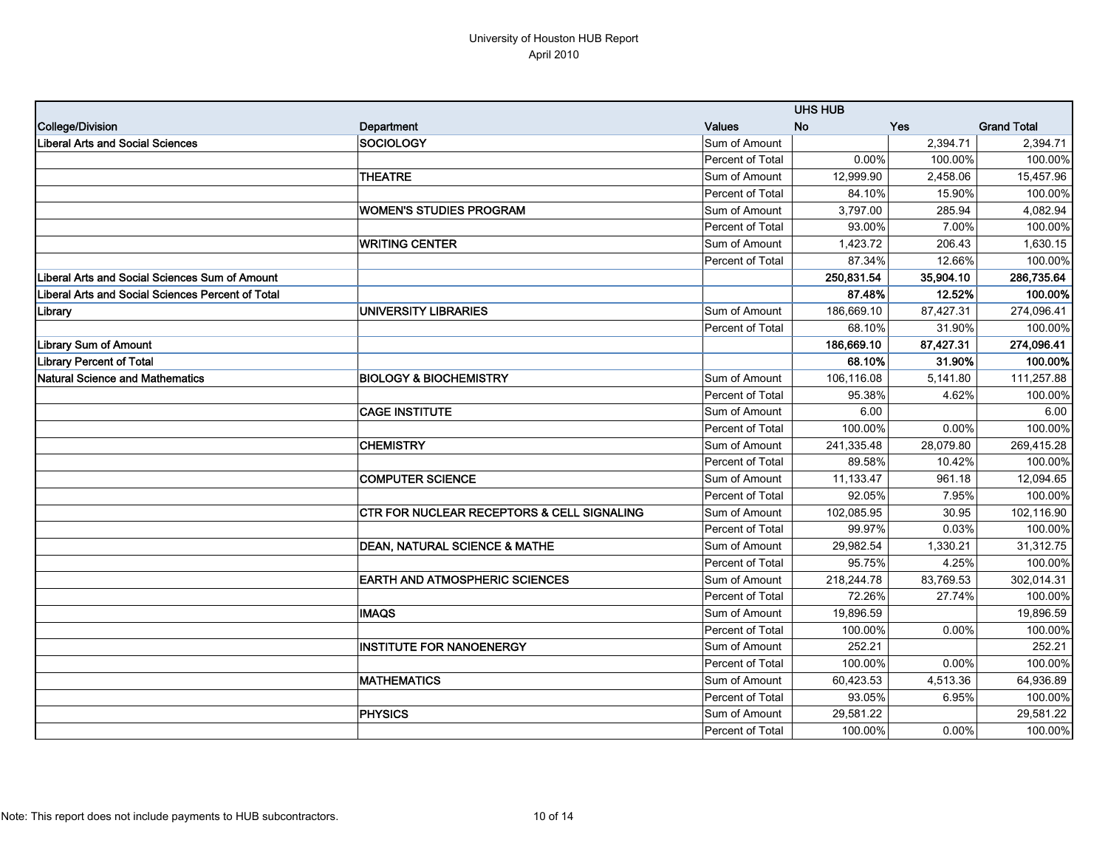|                                                   |                                                       |                  | <b>UHS HUB</b> |            |                       |
|---------------------------------------------------|-------------------------------------------------------|------------------|----------------|------------|-----------------------|
| College/Division                                  | Department                                            | <b>Values</b>    | <b>No</b>      | <b>Yes</b> | <b>Grand Total</b>    |
| Liberal Arts and Social Sciences                  | SOCIOLOGY                                             | Sum of Amount    |                | 2,394.71   | 2,394.71              |
|                                                   |                                                       | Percent of Total | 0.00%          | 100.00%    | 100.00%               |
|                                                   | <b>THEATRE</b>                                        | Sum of Amount    | 12,999.90      | 2,458.06   | 15,457.96             |
|                                                   |                                                       | Percent of Total | 84.10%         | 15.90%     | 100.00%               |
|                                                   | <b>WOMEN'S STUDIES PROGRAM</b>                        | Sum of Amount    | 3,797.00       | 285.94     | $\overline{4,}082.94$ |
|                                                   |                                                       | Percent of Total | 93.00%         | 7.00%      | 100.00%               |
|                                                   | <b>WRITING CENTER</b>                                 | Sum of Amount    | 1,423.72       | 206.43     | 1,630.15              |
|                                                   |                                                       | Percent of Total | 87.34%         | 12.66%     | 100.00%               |
| Liberal Arts and Social Sciences Sum of Amount    |                                                       |                  | 250,831.54     | 35,904.10  | 286,735.64            |
| Liberal Arts and Social Sciences Percent of Total |                                                       |                  | 87.48%         | 12.52%     | 100.00%               |
| Library                                           | <b>UNIVERSITY LIBRARIES</b>                           | Sum of Amount    | 186,669.10     | 87,427.31  | 274,096.41            |
|                                                   |                                                       | Percent of Total | 68.10%         | 31.90%     | 100.00%               |
| <b>Library Sum of Amount</b>                      |                                                       |                  | 186,669.10     | 87,427.31  | 274,096.41            |
| <b>Library Percent of Total</b>                   |                                                       |                  | 68.10%         | 31.90%     | 100.00%               |
| Natural Science and Mathematics                   | <b>BIOLOGY &amp; BIOCHEMISTRY</b>                     | Sum of Amount    | 106,116.08     | 5,141.80   | 111,257.88            |
|                                                   |                                                       | Percent of Total | 95.38%         | 4.62%      | 100.00%               |
|                                                   | <b>CAGE INSTITUTE</b>                                 | Sum of Amount    | 6.00           |            | 6.00                  |
|                                                   |                                                       | Percent of Total | 100.00%        | 0.00%      | 100.00%               |
|                                                   | <b>CHEMISTRY</b>                                      | Sum of Amount    | 241,335.48     | 28,079.80  | 269,415.28            |
|                                                   |                                                       | Percent of Total | 89.58%         | 10.42%     | 100.00%               |
|                                                   | <b>COMPUTER SCIENCE</b>                               | Sum of Amount    | 11,133.47      | 961.18     | 12,094.65             |
|                                                   |                                                       | Percent of Total | 92.05%         | 7.95%      | 100.00%               |
|                                                   | <b>CTR FOR NUCLEAR RECEPTORS &amp; CELL SIGNALING</b> | Sum of Amount    | 102,085.95     | 30.95      | 102,116.90            |
|                                                   |                                                       | Percent of Total | 99.97%         | 0.03%      | 100.00%               |
|                                                   | <b>DEAN, NATURAL SCIENCE &amp; MATHE</b>              | Sum of Amount    | 29,982.54      | 1,330.21   | 31,312.75             |
|                                                   |                                                       | Percent of Total | 95.75%         | 4.25%      | 100.00%               |
|                                                   | <b>EARTH AND ATMOSPHERIC SCIENCES</b>                 | Sum of Amount    | 218,244.78     | 83,769.53  | 302,014.31            |
|                                                   |                                                       | Percent of Total | 72.26%         | 27.74%     | 100.00%               |
|                                                   | <b>IMAQS</b>                                          | Sum of Amount    | 19,896.59      |            | 19,896.59             |
|                                                   |                                                       | Percent of Total | 100.00%        | 0.00%      | 100.00%               |
|                                                   | <b>INSTITUTE FOR NANOENERGY</b>                       | Sum of Amount    | 252.21         |            | 252.21                |
|                                                   |                                                       | Percent of Total | 100.00%        | 0.00%      | 100.00%               |
|                                                   | <b>MATHEMATICS</b>                                    | Sum of Amount    | 60,423.53      | 4,513.36   | 64,936.89             |
|                                                   |                                                       | Percent of Total | 93.05%         | 6.95%      | 100.00%               |
|                                                   | <b>PHYSICS</b>                                        | Sum of Amount    | 29,581.22      |            | 29,581.22             |
|                                                   |                                                       | Percent of Total | 100.00%        | 0.00%      | 100.00%               |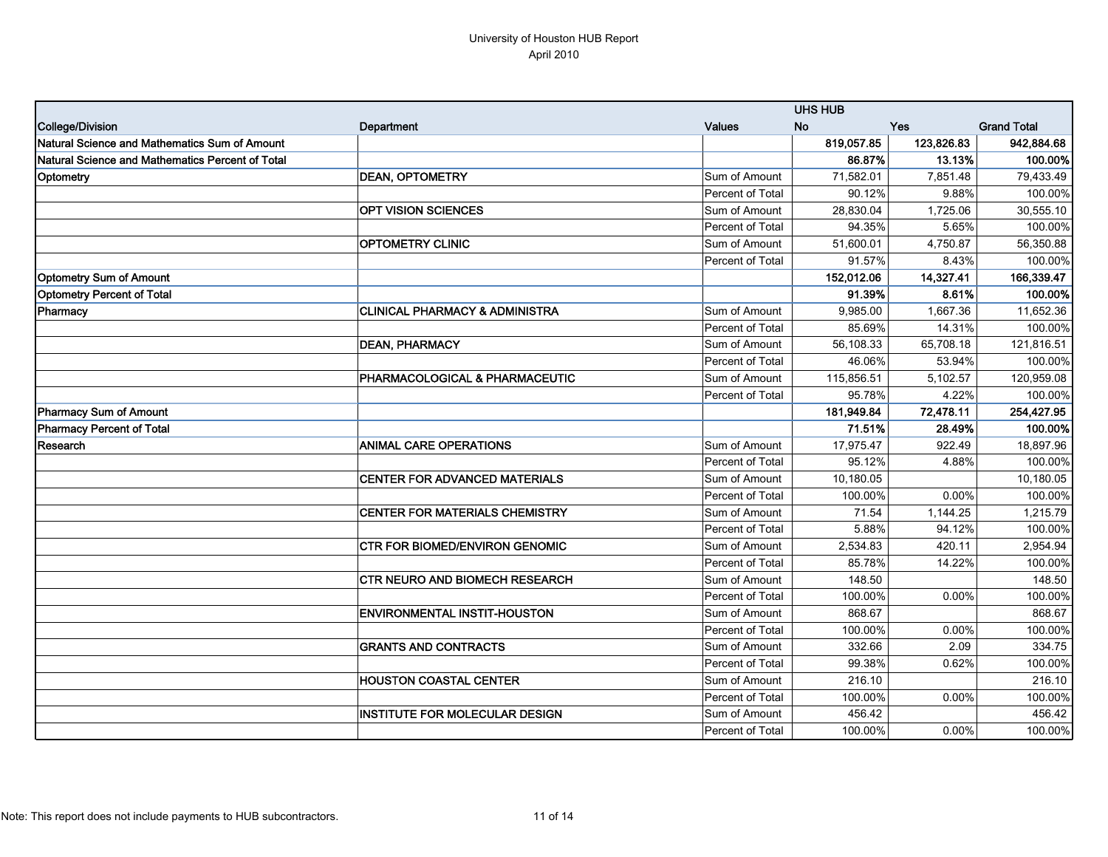|                                                  |                                           |                         | <b>UHS HUB</b> |            |                    |
|--------------------------------------------------|-------------------------------------------|-------------------------|----------------|------------|--------------------|
| College/Division                                 | Department                                | <b>Values</b>           | <b>No</b>      | <b>Yes</b> | <b>Grand Total</b> |
| Natural Science and Mathematics Sum of Amount    |                                           |                         | 819,057.85     | 123,826.83 | 942,884.68         |
| Natural Science and Mathematics Percent of Total |                                           |                         | 86.87%         | 13.13%     | 100.00%            |
| Optometry                                        | <b>DEAN, OPTOMETRY</b>                    | Sum of Amount           | 71,582.01      | 7,851.48   | 79,433.49          |
|                                                  |                                           | Percent of Total        | 90.12%         | 9.88%      | 100.00%            |
|                                                  | <b>OPT VISION SCIENCES</b>                | Sum of Amount           | 28,830.04      | 1,725.06   | 30,555.10          |
|                                                  |                                           | Percent of Total        | 94.35%         | 5.65%      | 100.00%            |
|                                                  | <b>OPTOMETRY CLINIC</b>                   | Sum of Amount           | 51,600.01      | 4,750.87   | 56,350.88          |
|                                                  |                                           | <b>Percent of Total</b> | 91.57%         | 8.43%      | 100.00%            |
| <b>Optometry Sum of Amount</b>                   |                                           |                         | 152,012.06     | 14,327.41  | 166,339.47         |
| <b>Optometry Percent of Total</b>                |                                           |                         | 91.39%         | 8.61%      | 100.00%            |
| Pharmacy                                         | <b>CLINICAL PHARMACY &amp; ADMINISTRA</b> | Sum of Amount           | 9,985.00       | 1,667.36   | 11,652.36          |
|                                                  |                                           | Percent of Total        | 85.69%         | 14.31%     | 100.00%            |
|                                                  | <b>DEAN, PHARMACY</b>                     | Sum of Amount           | 56.108.33      | 65,708.18  | 121,816.51         |
|                                                  |                                           | Percent of Total        | 46.06%         | 53.94%     | 100.00%            |
|                                                  | PHARMACOLOGICAL & PHARMACEUTIC            | Sum of Amount           | 115,856.51     | 5,102.57   | 120,959.08         |
|                                                  |                                           | Percent of Total        | 95.78%         | 4.22%      | 100.00%            |
| <b>Pharmacy Sum of Amount</b>                    |                                           |                         | 181,949.84     | 72,478.11  | 254,427.95         |
| <b>Pharmacy Percent of Total</b>                 |                                           |                         | 71.51%         | 28.49%     | 100.00%            |
| Research                                         | <b>ANIMAL CARE OPERATIONS</b>             | Sum of Amount           | 17,975.47      | 922.49     | 18,897.96          |
|                                                  |                                           | Percent of Total        | 95.12%         | 4.88%      | 100.00%            |
|                                                  | <b>CENTER FOR ADVANCED MATERIALS</b>      | Sum of Amount           | 10,180.05      |            | 10,180.05          |
|                                                  |                                           | Percent of Total        | 100.00%        | 0.00%      | 100.00%            |
|                                                  | CENTER FOR MATERIALS CHEMISTRY            | Sum of Amount           | 71.54          | 1,144.25   | 1,215.79           |
|                                                  |                                           | Percent of Total        | 5.88%          | 94.12%     | 100.00%            |
|                                                  | <b>CTR FOR BIOMED/ENVIRON GENOMIC</b>     | Sum of Amount           | 2,534.83       | 420.11     | 2,954.94           |
|                                                  |                                           | Percent of Total        | 85.78%         | 14.22%     | 100.00%            |
|                                                  | <b>CTR NEURO AND BIOMECH RESEARCH</b>     | Sum of Amount           | 148.50         |            | 148.50             |
|                                                  |                                           | Percent of Total        | 100.00%        | 0.00%      | 100.00%            |
|                                                  | <b>ENVIRONMENTAL INSTIT-HOUSTON</b>       | Sum of Amount           | 868.67         |            | 868.67             |
|                                                  |                                           | Percent of Total        | 100.00%        | 0.00%      | 100.00%            |
|                                                  | <b>GRANTS AND CONTRACTS</b>               | Sum of Amount           | 332.66         | 2.09       | 334.75             |
|                                                  |                                           | Percent of Total        | 99.38%         | 0.62%      | 100.00%            |
|                                                  | <b>HOUSTON COASTAL CENTER</b>             | Sum of Amount           | 216.10         |            | 216.10             |
|                                                  |                                           | Percent of Total        | 100.00%        | 0.00%      | 100.00%            |
|                                                  | INSTITUTE FOR MOLECULAR DESIGN            | Sum of Amount           | 456.42         |            | 456.42             |
|                                                  |                                           | Percent of Total        | 100.00%        | 0.00%      | 100.00%            |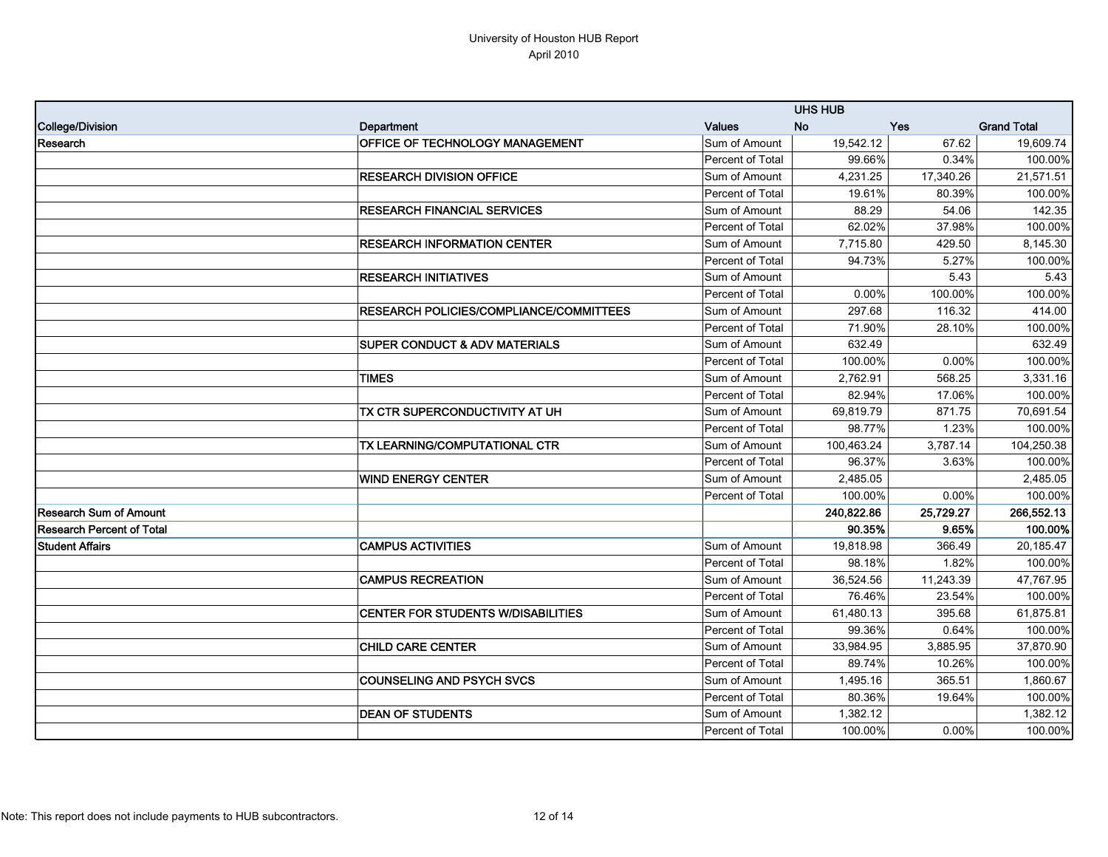|                                |                                                |                         | <b>UHS HUB</b> |            |                    |
|--------------------------------|------------------------------------------------|-------------------------|----------------|------------|--------------------|
| College/Division               | Department                                     | <b>Values</b>           | <b>No</b>      | <b>Yes</b> | <b>Grand Total</b> |
| Research                       | <b>OFFICE OF TECHNOLOGY MANAGEMENT</b>         | Sum of Amount           | 19,542.12      | 67.62      | 19,609.74          |
|                                |                                                | Percent of Total        | 99.66%         | 0.34%      | 100.00%            |
|                                | <b>RESEARCH DIVISION OFFICE</b>                | Sum of Amount           | 4,231.25       | 17,340.26  | 21,571.51          |
|                                |                                                | Percent of Total        | 19.61%         | 80.39%     | 100.00%            |
|                                | <b>RESEARCH FINANCIAL SERVICES</b>             | Sum of Amount           | 88.29          | 54.06      | 142.35             |
|                                |                                                | <b>Percent of Total</b> | 62.02%         | 37.98%     | 100.00%            |
|                                | <b>RESEARCH INFORMATION CENTER</b>             | Sum of Amount           | 7,715.80       | 429.50     | 8,145.30           |
|                                |                                                | <b>Percent of Total</b> | 94.73%         | 5.27%      | 100.00%            |
|                                | <b>RESEARCH INITIATIVES</b>                    | Sum of Amount           |                | 5.43       | 5.43               |
|                                |                                                | Percent of Total        | 0.00%          | 100.00%    | 100.00%            |
|                                | <b>RESEARCH POLICIES/COMPLIANCE/COMMITTEES</b> | Sum of Amount           | 297.68         | 116.32     | 414.00             |
|                                |                                                | Percent of Total        | 71.90%         | 28.10%     | 100.00%            |
|                                | <b>SUPER CONDUCT &amp; ADV MATERIALS</b>       | Sum of Amount           | 632.49         |            | 632.49             |
|                                |                                                | Percent of Total        | 100.00%        | 0.00%      | 100.00%            |
|                                | <b>TIMES</b>                                   | Sum of Amount           | 2.762.91       | 568.25     | 3,331.16           |
|                                |                                                | <b>Percent of Total</b> | 82.94%         | 17.06%     | 100.00%            |
|                                | TX CTR SUPERCONDUCTIVITY AT UH                 | Sum of Amount           | 69.819.79      | 871.75     | 70,691.54          |
|                                |                                                | Percent of Total        | 98.77%         | 1.23%      | 100.00%            |
|                                | TX LEARNING/COMPUTATIONAL CTR                  | Sum of Amount           | 100,463.24     | 3,787.14   | 104,250.38         |
|                                |                                                | Percent of Total        | 96.37%         | 3.63%      | 100.00%            |
|                                | <b>WIND ENERGY CENTER</b>                      | Sum of Amount           | 2,485.05       |            | 2,485.05           |
|                                |                                                | <b>Percent of Total</b> | 100.00%        | $0.00\%$   | 100.00%            |
| <b>IResearch Sum of Amount</b> |                                                |                         | 240,822.86     | 25,729.27  | 266,552.13         |
| Research Percent of Total      |                                                |                         | 90.35%         | 9.65%      | 100.00%            |
| <b>Student Affairs</b>         | <b>CAMPUS ACTIVITIES</b>                       | Sum of Amount           | 19,818.98      | 366.49     | 20,185.47          |
|                                |                                                | Percent of Total        | 98.18%         | 1.82%      | 100.00%            |
|                                | <b>CAMPUS RECREATION</b>                       | Sum of Amount           | 36,524.56      | 11,243.39  | 47,767.95          |
|                                |                                                | Percent of Total        | 76.46%         | 23.54%     | 100.00%            |
|                                | <b>CENTER FOR STUDENTS W/DISABILITIES</b>      | Sum of Amount           | 61,480.13      | 395.68     | 61,875.81          |
|                                |                                                | Percent of Total        | 99.36%         | 0.64%      | 100.00%            |
|                                | <b>CHILD CARE CENTER</b>                       | Sum of Amount           | 33,984.95      | 3,885.95   | 37,870.90          |
|                                |                                                | Percent of Total        | 89.74%         | 10.26%     | 100.00%            |
|                                | <b>COUNSELING AND PSYCH SVCS</b>               | Sum of Amount           | 1,495.16       | 365.51     | 1,860.67           |
|                                |                                                | Percent of Total        | 80.36%         | 19.64%     | 100.00%            |
|                                | <b>DEAN OF STUDENTS</b>                        | Sum of Amount           | 1,382.12       |            | 1,382.12           |
|                                |                                                | <b>Percent of Total</b> | 100.00%        | $0.00\%$   | 100.00%            |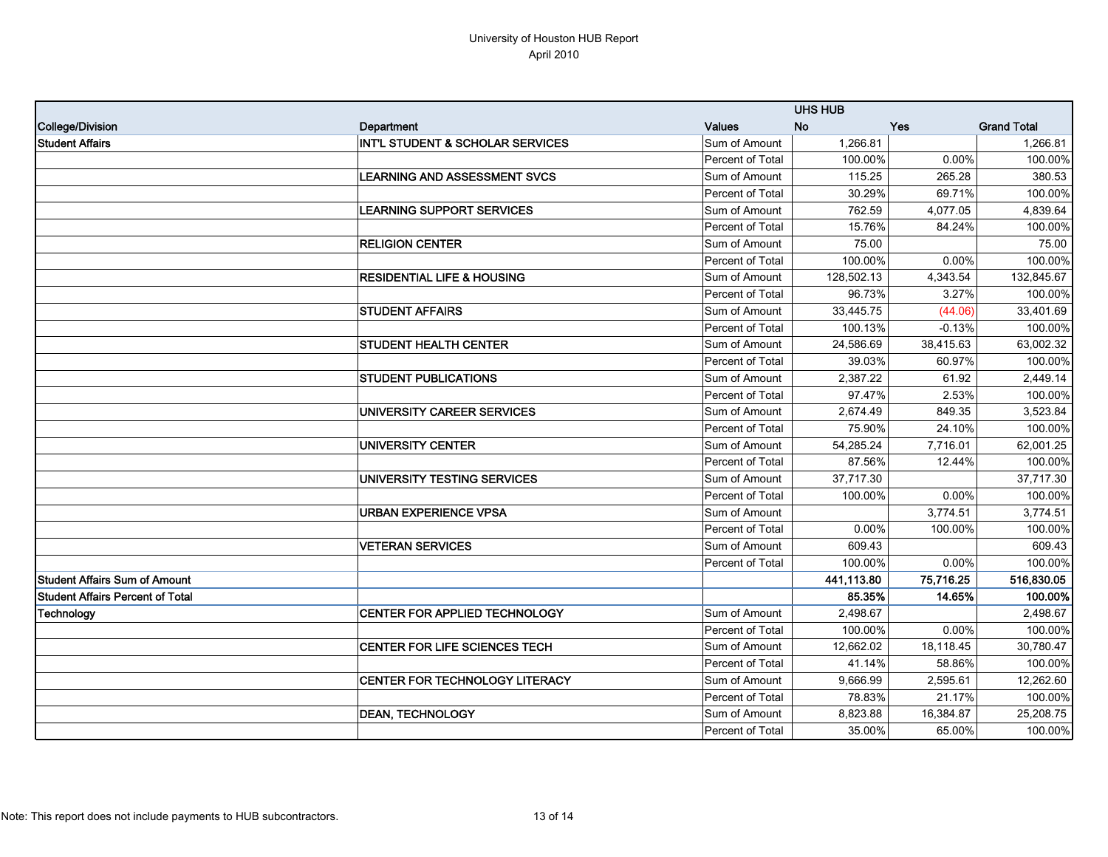|                                      |                                             |                  | <b>UHS HUB</b> |            |                    |  |
|--------------------------------------|---------------------------------------------|------------------|----------------|------------|--------------------|--|
| College/Division                     | Department                                  | <b>Values</b>    | <b>No</b>      | <b>Yes</b> | <b>Grand Total</b> |  |
| <b>Student Affairs</b>               | <b>INT'L STUDENT &amp; SCHOLAR SERVICES</b> | Sum of Amount    | 1,266.81       |            | 1,266.81           |  |
|                                      |                                             | Percent of Total | 100.00%        | $0.00\%$   | 100.00%            |  |
|                                      | <b>LEARNING AND ASSESSMENT SVCS</b>         | Sum of Amount    | 115.25         | 265.28     | 380.53             |  |
|                                      |                                             | Percent of Total | 30.29%         | 69.71%     | 100.00%            |  |
|                                      | <b>LEARNING SUPPORT SERVICES</b>            | Sum of Amount    | 762.59         | 4,077.05   | 4,839.64           |  |
|                                      |                                             | Percent of Total | 15.76%         | 84.24%     | 100.00%            |  |
|                                      | <b>RELIGION CENTER</b>                      | Sum of Amount    | 75.00          |            | 75.00              |  |
|                                      |                                             | Percent of Total | 100.00%        | $0.00\%$   | 100.00%            |  |
|                                      | <b>RESIDENTIAL LIFE &amp; HOUSING</b>       | Sum of Amount    | 128,502.13     | 4,343.54   | 132,845.67         |  |
|                                      |                                             | Percent of Total | 96.73%         | 3.27%      | 100.00%            |  |
|                                      | <b>STUDENT AFFAIRS</b>                      | Sum of Amount    | 33,445.75      | (44.06)    | 33,401.69          |  |
|                                      |                                             | Percent of Total | 100.13%        | $-0.13%$   | 100.00%            |  |
|                                      | <b>STUDENT HEALTH CENTER</b>                | Sum of Amount    | 24,586.69      | 38,415.63  | 63,002.32          |  |
|                                      |                                             | Percent of Total | 39.03%         | 60.97%     | 100.00%            |  |
|                                      | <b>STUDENT PUBLICATIONS</b>                 | Sum of Amount    | 2,387.22       | 61.92      | 2,449.14           |  |
|                                      |                                             | Percent of Total | 97.47%         | 2.53%      | 100.00%            |  |
|                                      | UNIVERSITY CAREER SERVICES                  | Sum of Amount    | 2,674.49       | 849.35     | 3,523.84           |  |
|                                      |                                             | Percent of Total | 75.90%         | 24.10%     | 100.00%            |  |
|                                      | UNIVERSITY CENTER                           | Sum of Amount    | 54,285.24      | 7,716.01   | 62,001.25          |  |
|                                      |                                             | Percent of Total | 87.56%         | 12.44%     | 100.00%            |  |
|                                      | UNIVERSITY TESTING SERVICES                 | Sum of Amount    | 37,717.30      |            | 37,717.30          |  |
|                                      |                                             | Percent of Total | 100.00%        | 0.00%      | 100.00%            |  |
|                                      | <b>URBAN EXPERIENCE VPSA</b>                | Sum of Amount    |                | 3,774.51   | 3,774.51           |  |
|                                      |                                             | Percent of Total | 0.00%          | 100.00%    | 100.00%            |  |
|                                      | <b>VETERAN SERVICES</b>                     | Sum of Amount    | 609.43         |            | 609.43             |  |
|                                      |                                             | Percent of Total | 100.00%        | $0.00\%$   | 100.00%            |  |
| <b>Student Affairs Sum of Amount</b> |                                             |                  | 441,113.80     | 75,716.25  | 516,830.05         |  |
| Student Affairs Percent of Total     |                                             |                  | 85.35%         | 14.65%     | 100.00%            |  |
| Technology                           | <b>CENTER FOR APPLIED TECHNOLOGY</b>        | Sum of Amount    | 2,498.67       |            | 2,498.67           |  |
|                                      |                                             | Percent of Total | 100.00%        | 0.00%      | 100.00%            |  |
|                                      | <b>CENTER FOR LIFE SCIENCES TECH</b>        | Sum of Amount    | 12,662.02      | 18,118.45  | 30,780.47          |  |
|                                      |                                             | Percent of Total | 41.14%         | 58.86%     | 100.00%            |  |
|                                      | <b>CENTER FOR TECHNOLOGY LITERACY</b>       | Sum of Amount    | 9,666.99       | 2,595.61   | 12,262.60          |  |
|                                      |                                             | Percent of Total | 78.83%         | 21.17%     | 100.00%            |  |
|                                      | <b>DEAN, TECHNOLOGY</b>                     | Sum of Amount    | 8,823.88       | 16,384.87  | 25,208.75          |  |
|                                      |                                             | Percent of Total | 35.00%         | 65.00%     | 100.00%            |  |